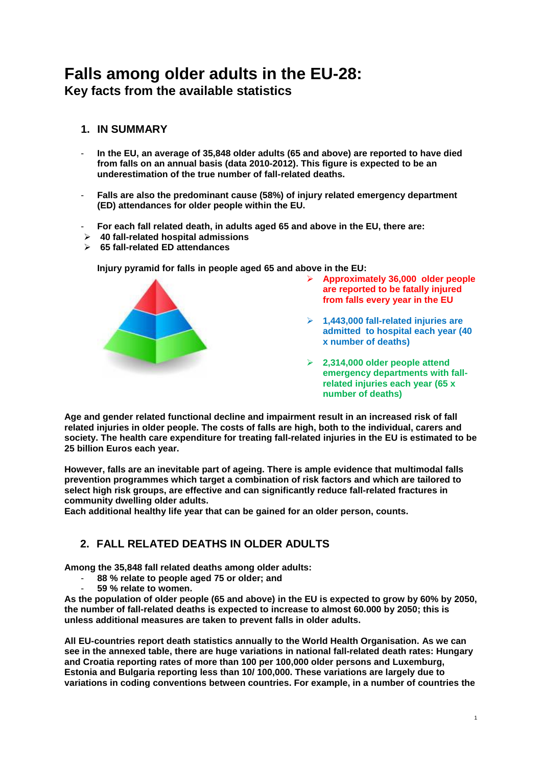# **Falls among older adults in the EU-28: Key facts from the available statistics**

## **1. IN SUMMARY**

- **In the EU, an average of 35,848 older adults (65 and above) are reported to have died from falls on an annual basis (data 2010-2012). This figure is expected to be an underestimation of the true number of fall-related deaths.**
- **Falls are also the predominant cause (58%) of injury related emergency department (ED) attendances for older people within the EU.**
- **For each fall related death, in adults aged 65 and above in the EU, there are:**
- **40 fall-related hospital admissions**
- **65 fall-related ED attendances**

**Injury pyramid for falls in people aged 65 and above in the EU:**



- **Approximately 36,000 older people are reported to be fatally injured from falls every year in the EU**
- **1,443,000 fall-related injuries are admitted to hospital each year (40 x number of deaths)**
- **2,314,000 older people attend emergency departments with fallrelated injuries each year (65 x number of deaths)**

**Age and gender related functional decline and impairment result in an increased risk of fall related injuries in older people. The costs of falls are high, both to the individual, carers and society. The health care expenditure for treating fall-related injuries in the EU is estimated to be 25 billion Euros each year.** 

**However, falls are an inevitable part of ageing. There is ample evidence that multimodal falls prevention programmes which target a combination of risk factors and which are tailored to select high risk groups, are effective and can significantly reduce fall-related fractures in community dwelling older adults.**

**Each additional healthy life year that can be gained for an older person, counts.** 

# **2. FALL RELATED DEATHS IN OLDER ADULTS**

**Among the 35,848 fall related deaths among older adults:**

- **88 % relate to people aged 75 or older; and**
- **59 % relate to women.**

**As the population of older people (65 and above) in the EU is expected to grow by 60% by 2050, the number of fall-related deaths is expected to increase to almost 60.000 by 2050; this is unless additional measures are taken to prevent falls in older adults.** 

**All EU-countries report death statistics annually to the World Health Organisation. As we can see in the annexed table, there are huge variations in national fall-related death rates: Hungary and Croatia reporting rates of more than 100 per 100,000 older persons and Luxemburg, Estonia and Bulgaria reporting less than 10/ 100,000. These variations are largely due to variations in coding conventions between countries. For example, in a number of countries the**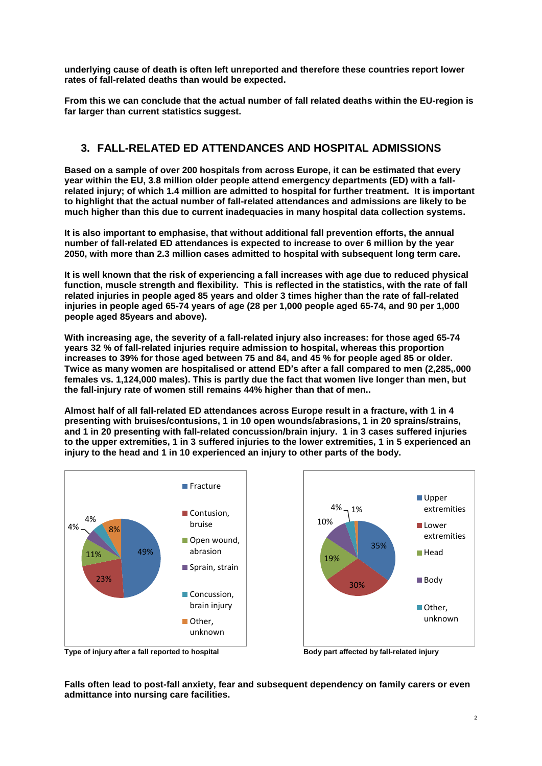**underlying cause of death is often left unreported and therefore these countries report lower rates of fall-related deaths than would be expected.** 

**From this we can conclude that the actual number of fall related deaths within the EU-region is far larger than current statistics suggest.**

### **3. FALL-RELATED ED ATTENDANCES AND HOSPITAL ADMISSIONS**

**Based on a sample of over 200 hospitals from across Europe, it can be estimated that every year within the EU, 3.8 million older people attend emergency departments (ED) with a fallrelated injury; of which 1.4 million are admitted to hospital for further treatment. It is important to highlight that the actual number of fall-related attendances and admissions are likely to be much higher than this due to current inadequacies in many hospital data collection systems.** 

**It is also important to emphasise, that without additional fall prevention efforts, the annual number of fall-related ED attendances is expected to increase to over 6 million by the year 2050, with more than 2.3 million cases admitted to hospital with subsequent long term care.** 

**It is well known that the risk of experiencing a fall increases with age due to reduced physical function, muscle strength and flexibility. This is reflected in the statistics, with the rate of fall related injuries in people aged 85 years and older 3 times higher than the rate of fall-related injuries in people aged 65-74 years of age (28 per 1,000 people aged 65-74, and 90 per 1,000 people aged 85years and above).**

**With increasing age, the severity of a fall-related injury also increases: for those aged 65-74 years 32 % of fall-related injuries require admission to hospital, whereas this proportion increases to 39% for those aged between 75 and 84, and 45 % for people aged 85 or older. Twice as many women are hospitalised or attend ED's after a fall compared to men (2,285,.000 females vs. 1,124,000 males). This is partly due the fact that women live longer than men, but the fall-injury rate of women still remains 44% higher than that of men..**

**Almost half of all fall-related ED attendances across Europe result in a fracture, with 1 in 4 presenting with bruises/contusions, 1 in 10 open wounds/abrasions, 1 in 20 sprains/strains, and 1 in 20 presenting with fall-related concussion/brain injury. 1 in 3 cases suffered injuries to the upper extremities, 1 in 3 suffered injuries to the lower extremities, 1 in 5 experienced an injury to the head and 1 in 10 experienced an injury to other parts of the body.** 



**Falls often lead to post-fall anxiety, fear and subsequent dependency on family carers or even admittance into nursing care facilities.**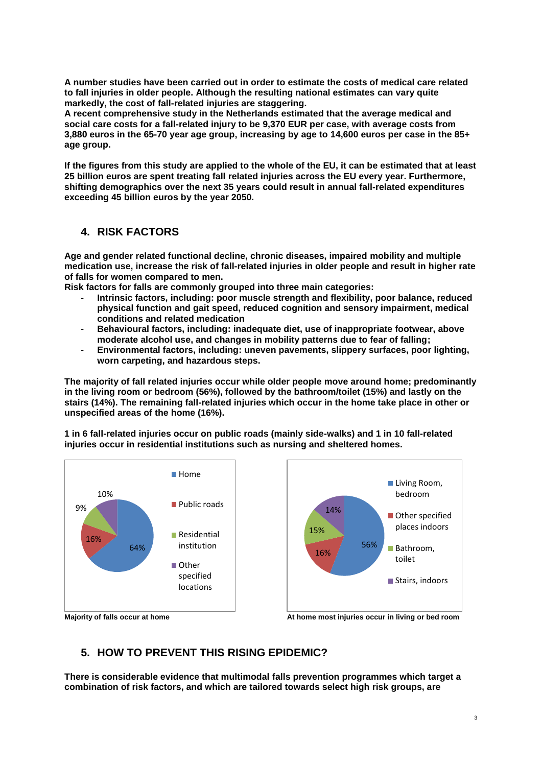**A number studies have been carried out in order to estimate the costs of medical care related to fall injuries in older people. Although the resulting national estimates can vary quite markedly, the cost of fall-related injuries are staggering.** 

**A recent comprehensive study in the Netherlands estimated that the average medical and social care costs for a fall-related injury to be 9,370 EUR per case, with average costs from 3,880 euros in the 65-70 year age group, increasing by age to 14,600 euros per case in the 85+ age group.**

**If the figures from this study are applied to the whole of the EU, it can be estimated that at least 25 billion euros are spent treating fall related injuries across the EU every year. Furthermore, shifting demographics over the next 35 years could result in annual fall-related expenditures exceeding 45 billion euros by the year 2050.**

### **4. RISK FACTORS**

**Age and gender related functional decline, chronic diseases, impaired mobility and multiple medication use, increase the risk of fall-related injuries in older people and result in higher rate of falls for women compared to men.**

**Risk factors for falls are commonly grouped into three main categories:**

- **Intrinsic factors, including: poor muscle strength and flexibility, poor balance, reduced physical function and gait speed, reduced cognition and sensory impairment, medical conditions and related medication**
- **Behavioural factors, including: inadequate diet, use of inappropriate footwear, above moderate alcohol use, and changes in mobility patterns due to fear of falling;**
- **Environmental factors, including: uneven pavements, slippery surfaces, poor lighting, worn carpeting, and hazardous steps.**

**The majority of fall related injuries occur while older people move around home; predominantly in the living room or bedroom (56%), followed by the bathroom/toilet (15%) and lastly on the stairs (14%). The remaining fall-related injuries which occur in the home take place in other or unspecified areas of the home (16%).** 

**1 in 6 fall-related injuries occur on public roads (mainly side-walks) and 1 in 10 fall-related injuries occur in residential institutions such as nursing and sheltered homes.**





**Majority of falls occur at home At home most injuries occur in living or bed room**

#### **5. HOW TO PREVENT THIS RISING EPIDEMIC?**

**There is considerable evidence that multimodal falls prevention programmes which target a combination of risk factors, and which are tailored towards select high risk groups, are**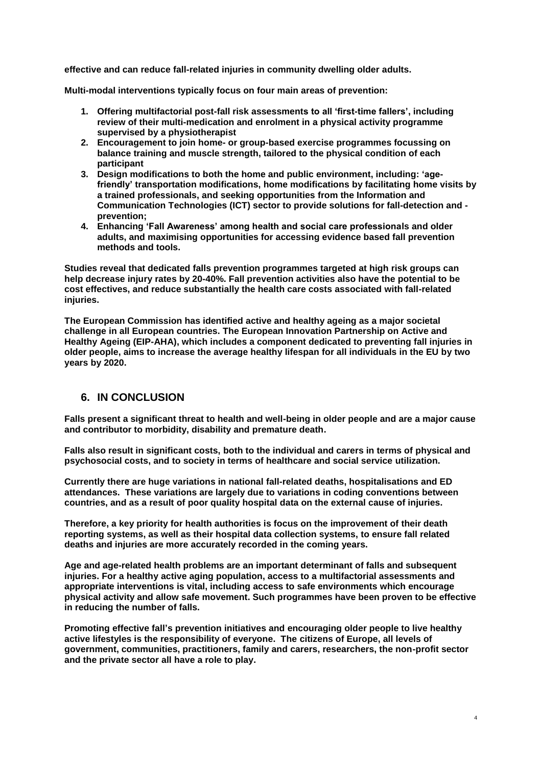**effective and can reduce fall-related injuries in community dwelling older adults.**

**Multi-modal interventions typically focus on four main areas of prevention:**

- **1. Offering multifactorial post-fall risk assessments to all 'first-time fallers', including review of their multi-medication and enrolment in a physical activity programme supervised by a physiotherapist**
- **2. Encouragement to join home- or group-based exercise programmes focussing on balance training and muscle strength, tailored to the physical condition of each participant**
- **3. Design modifications to both the home and public environment, including: 'agefriendly' transportation modifications, home modifications by facilitating home visits by a trained professionals, and seeking opportunities from the Information and Communication Technologies (ICT) sector to provide solutions for fall-detection and prevention;**
- **4. Enhancing 'Fall Awareness' among health and social care professionals and older adults, and maximising opportunities for accessing evidence based fall prevention methods and tools.**

**Studies reveal that dedicated falls prevention programmes targeted at high risk groups can help decrease injury rates by 20-40%. Fall prevention activities also have the potential to be cost effectives, and reduce substantially the health care costs associated with fall-related injuries.**

**The European Commission has identified active and healthy ageing as a major societal challenge in all European countries. The European Innovation Partnership on Active and Healthy Ageing (EIP-AHA), which includes a component dedicated to preventing fall injuries in older people, aims to increase the average healthy lifespan for all individuals in the EU by two years by 2020.** 

#### **6. IN CONCLUSION**

**Falls present a significant threat to health and well-being in older people and are a major cause and contributor to morbidity, disability and premature death.** 

**Falls also result in significant costs, both to the individual and carers in terms of physical and psychosocial costs, and to society in terms of healthcare and social service utilization.**

**Currently there are huge variations in national fall-related deaths, hospitalisations and ED attendances. These variations are largely due to variations in coding conventions between countries, and as a result of poor quality hospital data on the external cause of injuries.** 

**Therefore, a key priority for health authorities is focus on the improvement of their death reporting systems, as well as their hospital data collection systems, to ensure fall related deaths and injuries are more accurately recorded in the coming years.** 

**Age and age-related health problems are an important determinant of falls and subsequent injuries. For a healthy active aging population, access to a multifactorial assessments and appropriate interventions is vital, including access to safe environments which encourage physical activity and allow safe movement. Such programmes have been proven to be effective in reducing the number of falls.** 

**Promoting effective fall's prevention initiatives and encouraging older people to live healthy active lifestyles is the responsibility of everyone. The citizens of Europe, all levels of government, communities, practitioners, family and carers, researchers, the non-profit sector and the private sector all have a role to play.**